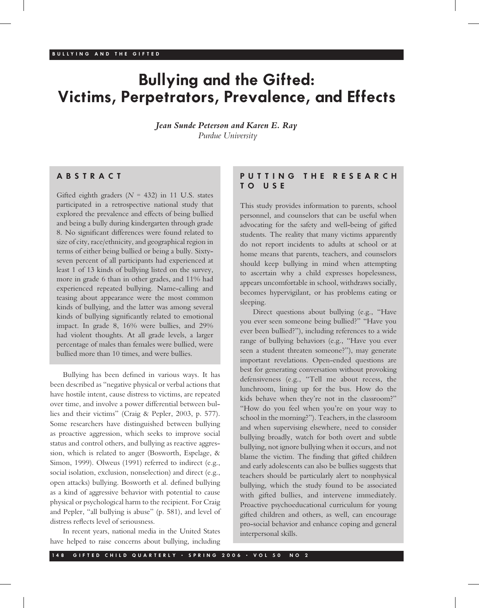# **Bullying and the Gifted: Victims, Perpetrators, Prevalence, and Effects**

*Jean Sunde Peterson and Karen E. Ray Purdue University*

# **ABSTRACT**

Gifted eighth graders (*N* = 432) in 11 U.S. states participated in a retrospective national study that explored the prevalence and effects of being bullied and being a bully during kindergarten through grade 8. No significant differences were found related to size of city, race/ethnicity, and geographical region in terms of either being bullied or being a bully. Sixtyseven percent of all participants had experienced at least 1 of 13 kinds of bullying listed on the survey, more in grade 6 than in other grades, and 11% had experienced repeated bullying. Name-calling and teasing about appearance were the most common kinds of bullying, and the latter was among several kinds of bullying significantly related to emotional impact. In grade 8, 16% were bullies, and 29% had violent thoughts. At all grade levels, a larger percentage of males than females were bullied, were bullied more than 10 times, and were bullies.

Bullying has been defined in various ways. It has been described as "negative physical or verbal actions that have hostile intent, cause distress to victims, are repeated over time, and involve a power differential between bullies and their victims" (Craig & Pepler, 2003, p. 577). Some researchers have distinguished between bullying as proactive aggression, which seeks to improve social status and control others, and bullying as reactive aggression, which is related to anger (Bosworth, Espelage, & Simon, 1999). Olweus (1991) referred to indirect (e.g., social isolation, exclusion, nonselection) and direct (e.g., open attacks) bullying. Bosworth et al. defined bullying as a kind of aggressive behavior with potential to cause physical or psychological harm to the recipient. For Craig and Pepler, "all bullying is abuse" (p. 581), and level of distress reflects level of seriousness.

 In recent years, national media in the United States have helped to raise concerns about bullying, including

# **PUTTING THE RESEARCH TO USE**

This study provides information to parents, school personnel, and counselors that can be useful when advocating for the safety and well-being of gifted students. The reality that many victims apparently do not report incidents to adults at school or at home means that parents, teachers, and counselors should keep bullying in mind when attempting to ascertain why a child expresses hopelessness, appears uncomfortable in school, withdraws socially, becomes hypervigilant, or has problems eating or sleeping.

 Direct questions about bullying (e.g., "Have you ever seen someone being bullied?" "Have you ever been bullied?"), including references to a wide range of bullying behaviors (e.g., "Have you ever seen a student threaten someone?"), may generate important revelations. Open-ended questions are best for generating conversation without provoking defensiveness (e.g., "Tell me about recess, the lunchroom, lining up for the bus. How do the kids behave when they're not in the classroom?" "How do you feel when you're on your way to school in the morning?"). Teachers, in the classroom and when supervising elsewhere, need to consider bullying broadly, watch for both overt and subtle bullying, not ignore bullying when it occurs, and not blame the victim. The finding that gifted children and early adolescents can also be bullies suggests that teachers should be particularly alert to nonphysical bullying, which the study found to be associated with gifted bullies, and intervene immediately. Proactive psychoeducational curriculum for young gifted children and others, as well, can encourage pro-social behavior and enhance coping and general interpersonal skills.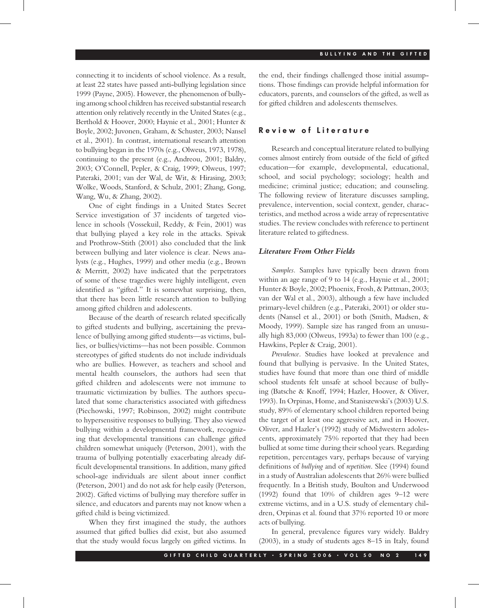connecting it to incidents of school violence. As a result, at least 22 states have passed anti-bullying legislation since 1999 (Payne, 2005). However, the phenomenon of bullying among school children has received substantial research attention only relatively recently in the United States (e.g., Berthold & Hoover, 2000; Haynie et al., 2001; Hunter & Boyle, 2002; Juvonen, Graham, & Schuster, 2003; Nansel et al., 2001). In contrast, international research attention to bullying began in the 1970s (e.g., Olweus, 1973, 1978), continuing to the present (e.g., Andreou, 2001; Baldry, 2003; O'Connell, Pepler, & Craig, 1999; Olweus, 1997; Pateraki, 2001; van der Wal, de Wit, & Hirasing, 2003; Wolke, Woods, Stanford, & Schulz, 2001; Zhang, Gong, Wang, Wu, & Zhang, 2002).

One of eight findings in a United States Secret Service investigation of 37 incidents of targeted violence in schools (Vossekuil, Reddy, & Fein, 2001) was that bullying played a key role in the attacks. Spivak and Prothrow-Stith (2001) also concluded that the link between bullying and later violence is clear. News analysts (e.g., Hughes, 1999) and other media (e.g., Brown & Merritt, 2002) have indicated that the perpetrators of some of these tragedies were highly intelligent, even identified as "gifted." It is somewhat surprising, then, that there has been little research attention to bullying among gifted children and adolescents.

Because of the dearth of research related specifically to gifted students and bullying, ascertaining the prevalence of bullying among gifted students—as victims, bullies, or bullies/victims—has not been possible. Common stereotypes of gifted students do not include individuals who are bullies. However, as teachers and school and mental health counselors, the authors had seen that gifted children and adolescents were not immune to traumatic victimization by bullies. The authors speculated that some characteristics associated with giftedness (Piechowski, 1997; Robinson, 2002) might contribute to hypersensitive responses to bullying. They also viewed bullying within a developmental framework, recognizing that developmental transitions can challenge gifted children somewhat uniquely (Peterson, 2001), with the trauma of bullying potentially exacerbating already difficult developmental transitions. In addition, many gifted school-age individuals are silent about inner conflict (Peterson, 2001) and do not ask for help easily (Peterson, 2002). Gifted victims of bullying may therefore suffer in silence, and educators and parents may not know when a gifted child is being victimized.

When they first imagined the study, the authors assumed that gifted bullies did exist, but also assumed that the study would focus largely on gifted victims. In

the end, their findings challenged those initial assumptions. Those findings can provide helpful information for educators, parents, and counselors of the gifted, as well as for gifted children and adolescents themselves.

# **Review of Literature**

Research and conceptual literature related to bullying comes almost entirely from outside of the field of gifted education—for example, developmental, educational, school, and social psychology; sociology; health and medicine; criminal justice; education; and counseling. The following review of literature discusses sampling, prevalence, intervention, social context, gender, characteristics, and method across a wide array of representative studies. The review concludes with reference to pertinent literature related to giftedness.

# *Literature From Other Fields*

 *Samples.* Samples have typically been drawn from within an age range of 9 to 14 (e.g., Haynie et al., 2001; Hunter & Boyle, 2002; Phoenix, Frosh, & Pattman, 2003; van der Wal et al., 2003), although a few have included primary-level children (e.g., Pateraki, 2001) or older students (Nansel et al., 2001) or both (Smith, Madsen, & Moody, 1999). Sample size has ranged from an unusually high 83,000 (Olweus, 1993a) to fewer than 100 (e.g., Hawkins, Pepler & Craig, 2001).

*Prevalence*. Studies have looked at prevalence and found that bullying is pervasive. In the United States, studies have found that more than one third of middle school students felt unsafe at school because of bullying (Batsche & Knoff, 1994; Hazler, Hoover, & Oliver, 1993). In Orpinas, Home, and Staniszewski's (2003) U.S. study, 89% of elementary school children reported being the target of at least one aggressive act, and in Hoover, Oliver, and Hazler's (1992) study of Midwestern adolescents, approximately 75% reported that they had been bullied at some time during their school years. Regarding repetition, percentages vary, perhaps because of varying definitions of *bullying* and of *repetition*. Slee (1994) found in a study of Australian adolescents that 26% were bullied frequently. In a British study, Boulton and Underwood (1992) found that 10% of children ages 9–12 were extreme victims, and in a U.S. study of elementary children, Orpinas et al. found that 37% reported 10 or more acts of bullying.

In general, prevalence figures vary widely. Baldry (2003), in a study of students ages 8–15 in Italy, found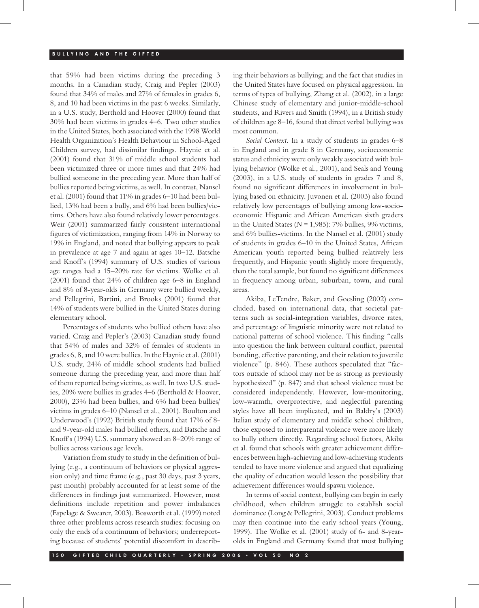that 59% had been victims during the preceding 3 months. In a Canadian study, Craig and Pepler (2003) found that 34% of males and 27% of females in grades 6, 8, and 10 had been victims in the past 6 weeks. Similarly, in a U.S. study, Berthold and Hoover (2000) found that 30% had been victims in grades 4–6. Two other studies in the United States, both associated with the 1998 World Health Organization's Health Behaviour in School-Aged Children survey, had dissimilar findings. Haynie et al. (2001) found that 31% of middle school students had been victimized three or more times and that 24% had bullied someone in the preceding year. More than half of bullies reported being victims, as well. In contrast, Nansel et al. (2001) found that 11% in grades 6–10 had been bullied, 13% had been a bully, and 6% had been bullies/victims. Others have also found relatively lower percentages. Weir (2001) summarized fairly consistent international figures of victimization, ranging from 14% in Norway to 19% in England, and noted that bullying appears to peak in prevalence at age 7 and again at ages 10–12. Batsche and Knoff's (1994) summary of U.S. studies of various age ranges had a 15–20% rate for victims. Wolke et al. (2001) found that 24% of children age 6–8 in England and 8% of 8-year-olds in Germany were bullied weekly, and Pellegrini, Bartini, and Brooks (2001) found that 14% of students were bullied in the United States during elementary school.

 Percentages of students who bullied others have also varied. Craig and Pepler's (2003) Canadian study found that 54% of males and 32% of females of students in grades 6, 8, and 10 were bullies. In the Haynie et al. (2001) U.S. study, 24% of middle school students had bullied someone during the preceding year, and more than half of them reported being victims, as well. In two U.S. studies, 20% were bullies in grades 4–6 (Berthold & Hoover, 2000), 23% had been bullies, and 6% had been bullies/ victims in grades 6–10 (Nansel et al., 2001). Boulton and Underwood's (1992) British study found that 17% of 8 and 9-year-old males had bullied others, and Batsche and Knoff's (1994) U.S. summary showed an 8–20% range of bullies across various age levels.

Variation from study to study in the definition of bullying (e.g., a continuum of behaviors or physical aggression only) and time frame (e.g., past 30 days, past 3 years, past month) probably accounted for at least some of the differences in findings just summarized. However, most definitions include repetition and power imbalances (Espelage & Swearer, 2003). Bosworth et al. (1999) noted three other problems across research studies: focusing on only the ends of a continuum of behaviors; underreporting because of students' potential discomfort in describing their behaviors as bullying; and the fact that studies in the United States have focused on physical aggression. In terms of types of bullying, Zhang et al. (2002), in a large Chinese study of elementary and junior-middle-school students, and Rivers and Smith (1994), in a British study of children age 8–16, found that direct verbal bullying was most common.

*Social Context*. In a study of students in grades 6–8 in England and in grade 8 in Germany, socioeconomic status and ethnicity were only weakly associated with bullying behavior (Wolke et al., 2001), and Seals and Young (2003), in a U.S. study of students in grades 7 and 8, found no significant differences in involvement in bullying based on ethnicity. Juvonen et al. (2003) also found relatively low percentages of bullying among low-socioeconomic Hispanic and African American sixth graders in the United States ( $N = 1,985$ ): 7% bullies, 9% victims, and 6% bullies-victims. In the Nansel et al. (2001) study of students in grades 6–10 in the United States, African American youth reported being bullied relatively less frequently, and Hispanic youth slightly more frequently, than the total sample, but found no significant differences in frequency among urban, suburban, town, and rural areas.

 Akiba, LeTendre, Baker, and Goesling (2002) concluded, based on international data, that societal patterns such as social-integration variables, divorce rates, and percentage of linguistic minority were not related to national patterns of school violence. This finding "calls into question the link between cultural conflict, parental bonding, effective parenting, and their relation to juvenile violence" (p. 846). These authors speculated that "factors outside of school may not be as strong as previously hypothesized" (p. 847) and that school violence must be considered independently. However, low-monitoring, low-warmth, overprotective, and neglectful parenting styles have all been implicated, and in Baldry's (2003) Italian study of elementary and middle school children, those exposed to interparental violence were more likely to bully others directly. Regarding school factors, Akiba et al. found that schools with greater achievement differences between high-achieving and low-achieving students tended to have more violence and argued that equalizing the quality of education would lessen the possibility that achievement differences would spawn violence.

 In terms of social context, bullying can begin in early childhood, when children struggle to establish social dominance (Long & Pellegrini, 2003). Conduct problems may then continue into the early school years (Young, 1999). The Wolke et al. (2001) study of 6- and 8-yearolds in England and Germany found that most bullying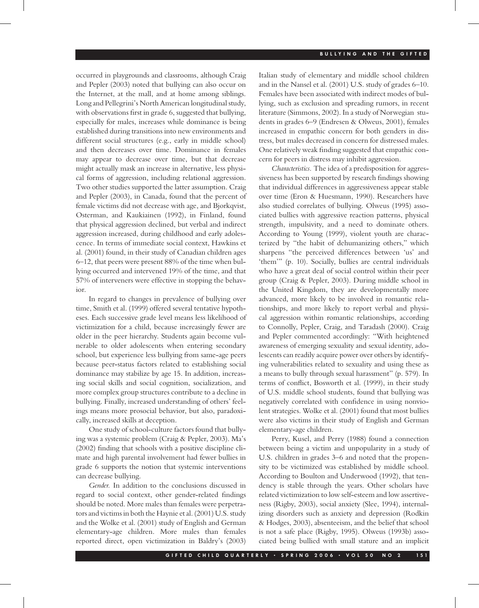occurred in playgrounds and classrooms, although Craig and Pepler (2003) noted that bullying can also occur on the Internet, at the mall, and at home among siblings. Long and Pellegrini's North American longitudinal study, with observations first in grade 6, suggested that bullying, especially for males, increases while dominance is being established during transitions into new environments and different social structures (e.g., early in middle school) and then decreases over time. Dominance in females may appear to decrease over time, but that decrease might actually mask an increase in alternative, less physical forms of aggression, including relational aggression. Two other studies supported the latter assumption. Craig and Pepler (2003), in Canada, found that the percent of female victims did not decrease with age, and Bjorkqvist, Osterman, and Kaukiainen (1992), in Finland, found that physical aggression declined, but verbal and indirect aggression increased, during childhood and early adolescence. In terms of immediate social context, Hawkins et al. (2001) found, in their study of Canadian children ages 6–12, that peers were present 88% of the time when bullying occurred and intervened 19% of the time, and that 57% of interveners were effective in stopping the behavior.

 In regard to changes in prevalence of bullying over time, Smith et al. (1999) offered several tentative hypotheses. Each successive grade level means less likelihood of victimization for a child, because increasingly fewer are older in the peer hierarchy. Students again become vulnerable to older adolescents when entering secondary school, but experience less bullying from same-age peers because peer-status factors related to establishing social dominance may stabilize by age 15. In addition, increasing social skills and social cognition, socialization, and more complex group structures contribute to a decline in bullying. Finally, increased understanding of others' feelings means more prosocial behavior, but also, paradoxically, increased skills at deception.

 One study of school-culture factors found that bullying was a systemic problem (Craig & Pepler, 2003). Ma's  $(2002)$  finding that schools with a positive discipline climate and high parental involvement had fewer bullies in grade 6 supports the notion that systemic interventions can decrease bullying.

*Gender.* In addition to the conclusions discussed in regard to social context, other gender-related findings should be noted. More males than females were perpetrators and victims in both the Haynie et al. (2001) U.S. study and the Wolke et al. (2001) study of English and German elementary-age children. More males than females reported direct, open victimization in Baldry's (2003) Italian study of elementary and middle school children and in the Nansel et al. (2001) U.S. study of grades 6–10. Females have been associated with indirect modes of bullying, such as exclusion and spreading rumors, in recent literature (Simmons, 2002). In a study of Norwegian students in grades 6–9 (Endresen & Olweus, 2001), females increased in empathic concern for both genders in distress, but males decreased in concern for distressed males. One relatively weak finding suggested that empathic concern for peers in distress may inhibit aggression.

*Characteristics.* The idea of a predisposition for aggressiveness has been supported by research findings showing that individual differences in aggressiveness appear stable over time (Eron & Huesmann, 1990). Researchers have also studied correlates of bullying. Olweus (1995) associated bullies with aggressive reaction patterns, physical strength, impulsivity, and a need to dominate others. According to Young (1999), violent youth are characterized by "the habit of dehumanizing others," which sharpens "the perceived differences between 'us' and 'them'" (p. 10). Socially, bullies are central individuals who have a great deal of social control within their peer group (Craig & Pepler, 2003). During middle school in the United Kingdom, they are developmentally more advanced, more likely to be involved in romantic relationships, and more likely to report verbal and physical aggression within romantic relationships, according to Connolly, Pepler, Craig, and Taradash (2000). Craig and Pepler commented accordingly: "With heightened awareness of emerging sexuality and sexual identity, adolescents can readily acquire power over others by identifying vulnerabilities related to sexuality and using these as a means to bully through sexual harassment" (p. 579). In terms of conflict, Bosworth et al. (1999), in their study of U.S. middle school students, found that bullying was negatively correlated with confidence in using nonviolent strategies. Wolke et al. (2001) found that most bullies were also victims in their study of English and German elementary-age children.

 Perry, Kusel, and Perry (1988) found a connection between being a victim and unpopularity in a study of U.S. children in grades 3–6 and noted that the propensity to be victimized was established by middle school. According to Boulton and Underwood (1992), that tendency is stable through the years. Other scholars have related victimization to low self-esteem and low assertiveness (Rigby, 2003), social anxiety (Slee, 1994), internalizing disorders such as anxiety and depression (Rodkin & Hodges, 2003), absenteeism, and the belief that school is not a safe place (Rigby, 1995). Olweus (1993b) associated being bullied with small stature and an implicit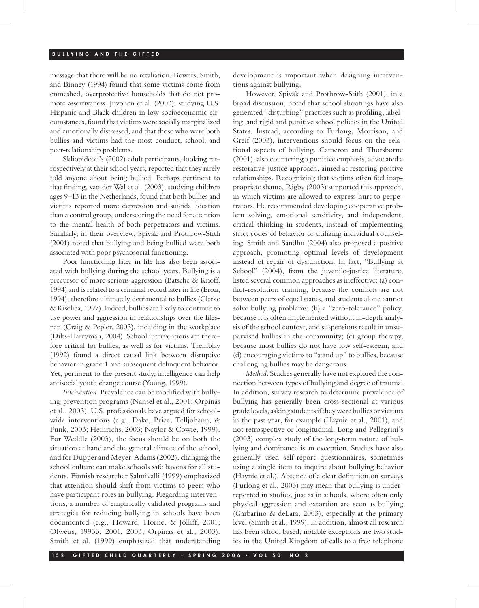message that there will be no retaliation. Bowers, Smith, and Binney (1994) found that some victims come from enmeshed, overprotective households that do not promote assertiveness. Juvonen et al. (2003), studying U.S. Hispanic and Black children in low-socioeconomic circumstances, found that victims were socially marginalized and emotionally distressed, and that those who were both bullies and victims had the most conduct, school, and peer-relationship problems.

 Skliopideou's (2002) adult participants, looking retrospectively at their school years, reported that they rarely told anyone about being bullied. Perhaps pertinent to that finding, van der Wal et al. (2003), studying children ages 9–13 in the Netherlands, found that both bullies and victims reported more depression and suicidal ideation than a control group, underscoring the need for attention to the mental health of both perpetrators and victims. Similarly, in their overview, Spivak and Prothrow-Stith (2001) noted that bullying and being bullied were both associated with poor psychosocial functioning.

 Poor functioning later in life has also been associated with bullying during the school years. Bullying is a precursor of more serious aggression (Batsche & Knoff, 1994) and is related to a criminal record later in life (Eron, 1994), therefore ultimately detrimental to bullies (Clarke & Kiselica, 1997). Indeed, bullies are likely to continue to use power and aggression in relationships over the lifespan (Craig & Pepler, 2003), including in the workplace (Dilts-Harryman, 2004). School interventions are therefore critical for bullies, as well as for victims. Tremblay (1992) found a direct causal link between disruptive behavior in grade 1 and subsequent delinquent behavior. Yet, pertinent to the present study, intelligence can help antisocial youth change course (Young, 1999).

Intervention. Prevalence can be modified with bullying-prevention programs (Nansel et al., 2001; Orpinas et al., 2003). U.S. professionals have argued for schoolwide interventions (e.g., Dake, Price, Telljohann, & Funk, 2003; Heinrichs, 2003; Naylor & Cowie, 1999). For Weddle (2003), the focus should be on both the situation at hand and the general climate of the school, and for Dupper and Meyer-Adams (2002), changing the school culture can make schools safe havens for all students. Finnish researcher Salmivalli (1999) emphasized that attention should shift from victims to peers who have participant roles in bullying. Regarding interventions, a number of empirically validated programs and strategies for reducing bullying in schools have been documented (e.g., Howard, Horne, & Jolliff, 2001; Olweus, 1993b, 2001, 2003; Orpinas et al., 2003). Smith et al. (1999) emphasized that understanding development is important when designing interventions against bullying.

 However, Spivak and Prothrow-Stith (2001), in a broad discussion, noted that school shootings have also generated "disturbing" practices such as profiling, labeling, and rigid and punitive school policies in the United States. Instead, according to Furlong, Morrison, and Greif (2003), interventions should focus on the relational aspects of bullying. Cameron and Thorsborne (2001), also countering a punitive emphasis, advocated a restorative-justice approach, aimed at restoring positive relationships. Recognizing that victims often feel inappropriate shame, Rigby (2003) supported this approach, in which victims are allowed to express hurt to perpetrators. He recommended developing cooperative problem solving, emotional sensitivity, and independent, critical thinking in students, instead of implementing strict codes of behavior or utilizing individual counseling. Smith and Sandhu (2004) also proposed a positive approach, promoting optimal levels of development instead of repair of dysfunction. In fact, "Bullying at School" (2004), from the juvenile-justice literature, listed several common approaches as ineffective: (a) conflict-resolution training, because the conflicts are not between peers of equal status, and students alone cannot solve bullying problems; (b) a "zero-tolerance" policy, because it is often implemented without in-depth analysis of the school context, and suspensions result in unsupervised bullies in the community; (c) group therapy, because most bullies do not have low self-esteem; and (d) encouraging victims to "stand up" to bullies, because challenging bullies may be dangerous.

*Method*. Studies generally have not explored the connection between types of bullying and degree of trauma. In addition, survey research to determine prevalence of bullying has generally been cross-sectional at various grade levels, asking students if they were bullies or victims in the past year, for example (Haynie et al., 2001), and not retrospective or longitudinal. Long and Pellegrini's (2003) complex study of the long-term nature of bullying and dominance is an exception. Studies have also generally used self-report questionnaires, sometimes using a single item to inquire about bullying behavior (Haynie et al.). Absence of a clear definition on surveys (Furlong et al., 2003) may mean that bullying is underreported in studies, just as in schools, where often only physical aggression and extortion are seen as bullying (Garbarino & deLara, 2003), especially at the primary level (Smith et al., 1999). In addition, almost all research has been school based; notable exceptions are two studies in the United Kingdom of calls to a free telephone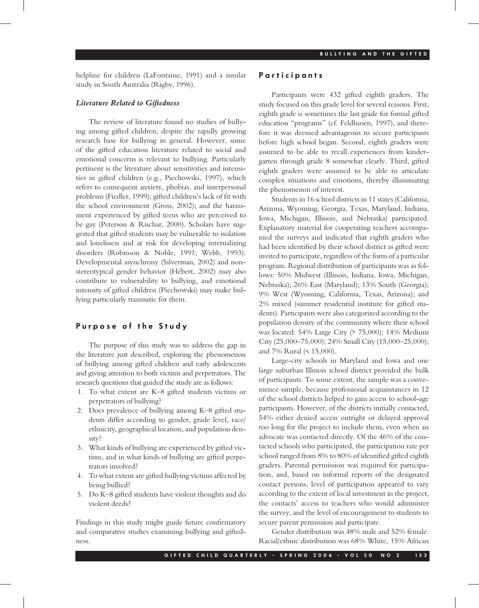helpline for children (LaFontaine, 1991) and a similar study in South Australia (Rigby, 1996).

#### *Literature Related to Giftedness*

 The review of literature found no studies of bullying among gifted children, despite the rapidly growing research base for bullying in general. However, some of the gifted education literature related to social and emotional concerns is relevant to bullying. Particularly pertinent is the literature about sensitivities and intensities in gifted children (e.g., Piechowski, 1997), which refers to consequent anxiety, phobias, and interpersonal problems (Fiedler, 1999); gifted children's lack of fit with the school environment (Gross, 2002); and the harassment experienced by gifted teens who are perceived to be gay (Peterson & Rischar, 2000). Scholars have suggested that gifted students may be vulnerable to isolation and loneliness and at risk for developing internalizing disorders (Robinson & Noble, 1991; Webb, 1993). Developmental asynchrony (Silverman, 2002) and nonstereotypical gender behavior (Hébert, 2002) may also contribute to vulnerability to bullying, and emotional intensity of gifted children (Piechowski) may make bullying particularly traumatic for them.

# **Purpose of the Study**

 The purpose of this study was to address the gap in the literature just described, exploring the phenomenon of bullying among gifted children and early adolescents and giving attention to both victims and perpetrators. The research questions that guided the study are as follows:

- 1. To what extent are K–8 gifted students victims or perpetrators of bullying?
- 2. Does prevalence of bullying among K–8 gifted students differ according to gender, grade level, race/ ethnicity, geographical location, and population density?
- 3. What kinds of bullying are experienced by gifted victims, and in what kinds of bullying are gifted perpetrators involved?
- 4. To what extent are gifted bullying victims affected by being bullied?
- 5. Do K–8 gifted students have violent thoughts and do violent deeds?

Findings in this study might guide future confirmatory and comparative studies examining bullying and giftedness.

### **Participants**

 Participants were 432 gifted eighth graders. The study focused on this grade level for several reasons. First, eighth grade is sometimes the last grade for formal gifted education "programs" (cf. Feldhusen, 1997), and therefore it was deemed advantageous to secure participants before high school began. Second, eighth graders were assumed to be able to recall experiences from kindergarten through grade 8 somewhat clearly. Third, gifted eighth graders were assumed to be able to articulate complex situations and emotions, thereby illuminating the phenomenon of interest.

 Students in 16 school districts in 11 states (California, Arizona, Wyoming, Georgia, Texas, Maryland, Indiana, Iowa, Michigan, Illinois, and Nebraska) participated. Explanatory material for cooperating teachers accompanied the surveys and indicated that eighth graders who had been identified by their school district as gifted were invited to participate, regardless of the form of a particular program. Regional distribution of participants was as follows: 50% Midwest (Illinois, Indiana, Iowa, Michigan, Nebraska); 26% East (Maryland); 13% South (Georgia); 9% West (Wyoming, California, Texas, Arizona); and 2% mixed (summer residential institute for gifted students). Participants were also categorized according to the population density of the community where their school was located: 54% Large City (> 75,000); 14% Medium City (25,000–75,000); 24% Small City (15,000–25,000); and 7% Rural (< 15,000).

 Large-city schools in Maryland and Iowa and one large suburban Illinois school district provided the bulk of participants. To some extent, the sample was a convenience sample, because professional acquaintances in 12 of the school districts helped to gain access to school-age participants. However, of the districts initially contacted, 54% either denied access outright or delayed approval too long for the project to include them, even when an advocate was contacted directly. Of the 46% of the contacted schools who participated, the participation rate per school ranged from 8% to 80% of identified gifted eighth graders. Parental permission was required for participation, and, based on informal reports of the designated contact persons, level of participation appeared to vary according to the extent of local investment in the project, the contacts' access to teachers who would administer the survey, and the level of encouragement to students to secure parent permission and participate.

 Gender distribution was 48% male and 52% female. Racial/ethnic distribution was 68% White, 15% African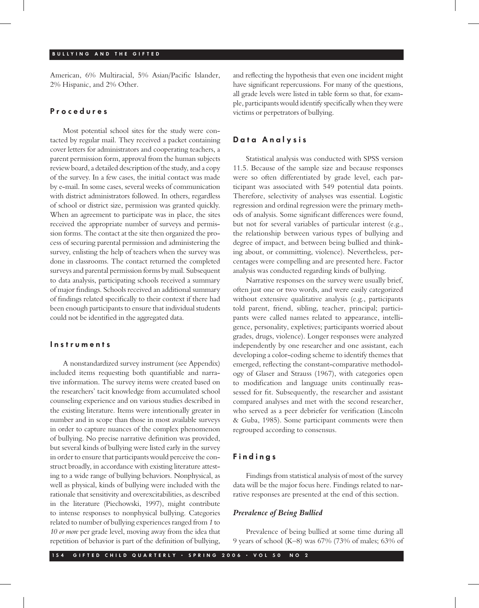American, 6% Multiracial, 5% Asian/Pacific Islander, 2% Hispanic, and 2% Other.

# **Procedures**

 Most potential school sites for the study were contacted by regular mail. They received a packet containing cover letters for administrators and cooperating teachers, a parent permission form, approval from the human subjects review board, a detailed description of the study, and a copy of the survey. In a few cases, the initial contact was made by e-mail. In some cases, several weeks of communication with district administrators followed. In others, regardless of school or district size, permission was granted quickly. When an agreement to participate was in place, the sites received the appropriate number of surveys and permission forms. The contact at the site then organized the process of securing parental permission and administering the survey, enlisting the help of teachers when the survey was done in classrooms. The contact returned the completed surveys and parental permission forms by mail. Subsequent to data analysis, participating schools received a summary of major findings. Schools received an additional summary of findings related specifically to their context if there had been enough participants to ensure that individual students could not be identified in the aggregated data.

### **Instruments**

 A nonstandardized survey instrument (see Appendix) included items requesting both quantifiable and narrative information. The survey items were created based on the researchers' tacit knowledge from accumulated school counseling experience and on various studies described in the existing literature. Items were intentionally greater in number and in scope than those in most available surveys in order to capture nuances of the complex phenomenon of bullying. No precise narrative definition was provided, but several kinds of bullying were listed early in the survey in order to ensure that participants would perceive the construct broadly, in accordance with existing literature attesting to a wide range of bullying behaviors. Nonphysical, as well as physical, kinds of bullying were included with the rationale that sensitivity and overexcitabilities, as described in the literature (Piechowski, 1997), might contribute to intense responses to nonphysical bullying. Categories related to number of bullying experiences ranged from *1* to *10 or more* per grade level, moving away from the idea that repetition of behavior is part of the definition of bullying,

and reflecting the hypothesis that even one incident might have significant repercussions. For many of the questions, all grade levels were listed in table form so that, for example, participants would identify specifically when they were victims or perpetrators of bullying.

# **Data Analysis**

 Statistical analysis was conducted with SPSS version 11.5. Because of the sample size and because responses were so often differentiated by grade level, each participant was associated with 549 potential data points. Therefore, selectivity of analyses was essential. Logistic regression and ordinal regression were the primary methods of analysis. Some significant differences were found, but not for several variables of particular interest (e.g., the relationship between various types of bullying and degree of impact, and between being bullied and thinking about, or committing, violence). Nevertheless, percentages were compelling and are presented here. Factor analysis was conducted regarding kinds of bullying.

 Narrative responses on the survey were usually brief, often just one or two words, and were easily categorized without extensive qualitative analysis (e.g., participants told parent, friend, sibling, teacher, principal; participants were called names related to appearance, intelligence, personality, expletives; participants worried about grades, drugs, violence). Longer responses were analyzed independently by one researcher and one assistant, each developing a color-coding scheme to identify themes that emerged, reflecting the constant-comparative methodology of Glaser and Strauss (1967), with categories open to modification and language units continually reassessed for fit. Subsequently, the researcher and assistant compared analyses and met with the second researcher, who served as a peer debriefer for verification (Lincoln & Guba, 1985). Some participant comments were then regrouped according to consensus.

# **Findings**

 Findings from statistical analysis of most of the survey data will be the major focus here. Findings related to narrative responses are presented at the end of this section.

#### *Prevalence of Being Bullied*

 Prevalence of being bullied at some time during all 9 years of school (K–8) was 67% (73% of males; 63% of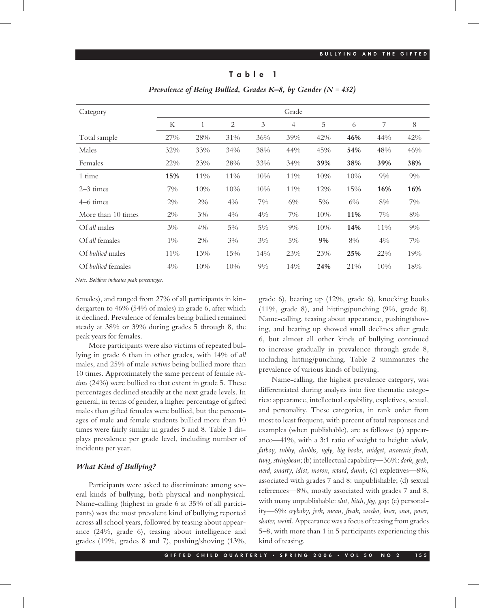# Category Grade K 1 2 3 4 5 6 7 8 Total sample 27% 28% 31% 36% 39% 42% **46%** 44% 42% Males 32% 33% 34% 38% 44% 45% **54%** 48% 46% Females 22% 23% 28% 33% 34% **39% 38% 39% 38%** 1 time **15%** 11% 11% 10% 11% 10% 10% 9% 9% 2–3 times 7% 10% 10% 10% 11% 12% 15% **16% 16%** 4–6 times 2% 2% 4% 7% 6% 5% 6% 8% 7% More than 10 times 2% 3% 4% 4% 7% 10% **11%** 7% 8% Of *all* males 3% 4% 5% 5% 9% 10% **14%** 11% 9% Of *all* females 1% 2% 3% 3% 5% **9%** 8% 4% 7% Of *bullied* males 11% 13% 15% 14% 23% 23% **25%** 22% 19% Of *bullied* females 4% 10% 10% 9% 14% **24%** 21% 10% 18%

*Prevalence of Being Bullied, Grades K–8, by Gender (N = 432)* 

**Table 1**

*Note. Boldface indicates peak percentages.*

females), and ranged from 27% of all participants in kindergarten to 46% (54% of males) in grade 6, after which it declined. Prevalence of females being bullied remained steady at 38% or 39% during grades 5 through 8, the peak years for females.

 More participants were also victims of repeated bullying in grade 6 than in other grades, with 14% of *all* males, and 25% of male *victims* being bullied more than 10 times. Approximately the same percent of female *victims* (24%) were bullied to that extent in grade 5. These percentages declined steadily at the next grade levels. In general, in terms of gender, a higher percentage of gifted males than gifted females were bullied, but the percentages of male and female students bullied more than 10 times were fairly similar in grades 5 and 8. Table 1 displays prevalence per grade level, including number of incidents per year.

#### *What Kind of Bullying?*

 Participants were asked to discriminate among several kinds of bullying, both physical and nonphysical. Name-calling (highest in grade 6 at 35% of all participants) was the most prevalent kind of bullying reported across all school years, followed by teasing about appearance (24%, grade 6), teasing about intelligence and grades (19%, grades 8 and 7), pushing/shoving (13%,

grade 6), beating up (12%, grade 6), knocking books (11%, grade 8), and hitting/punching (9%, grade 8). Name-calling, teasing about appearance, pushing/shoving, and beating up showed small declines after grade 6, but almost all other kinds of bullying continued to increase gradually in prevalence through grade 8, including hitting/punching. Table 2 summarizes the prevalence of various kinds of bullying.

 Name-calling, the highest prevalence category, was differentiated during analysis into five thematic categories: appearance, intellectual capability, expletives, sexual, and personality. These categories, in rank order from most to least frequent, with percent of total responses and examples (when publishable), are as follows: (a) appearance—41%, with a 3:1 ratio of weight to height: *whale, fatboy, tubby, chubbs, ugly, big boobs, midget, anorexic freak, twig, stringbean*; (b) intellectual capability—36%: *dork, geek, nerd, smarty, idiot, moron, retard, dumb;* (c) expletives—8%, associated with grades 7 and 8: unpublishable; (d) sexual references—8%, mostly associated with grades 7 and 8, with many unpublishable: *slut, bitch, fag, gay*; (e) personality—6%: *crybaby, jerk, mean, freak, wacko, loser, snot, poser, skater, weird.* Appearance was a focus of teasing from grades 5–8, with more than 1 in 5 participants experiencing this kind of teasing.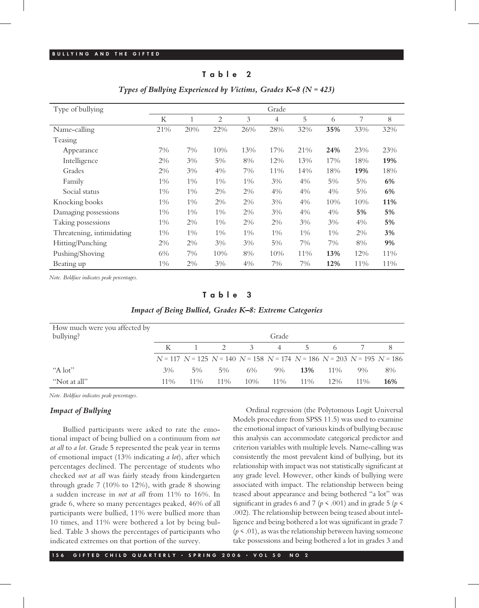| Type of bullying          |       |       |                |       | Grade |       |     |     |     |
|---------------------------|-------|-------|----------------|-------|-------|-------|-----|-----|-----|
|                           | K     |       | $\overline{2}$ | 3     | 4     | 5     | 6   | 7   | 8   |
| Name-calling              | 21%   | 20%   | 22%            | 26%   | 28%   | 32%   | 35% | 33% | 32% |
| Teasing                   |       |       |                |       |       |       |     |     |     |
| Appearance                | 7%    | 7%    | 10%            | 13%   | 17%   | 21%   | 24% | 23% | 23% |
| Intelligence              | 2%    | 3%    | 5%             | 8%    | 12%   | 13%   | 17% | 18% | 19% |
| Grades                    | 2%    | 3%    | 4%             | 7%    | 11%   | 14%   | 18% | 19% | 18% |
| Family                    | 1%    | $1\%$ | 1%             | 1%    | 3%    | 4%    | 5%  | 5%  | 6%  |
| Social status             | 1%    | $1\%$ | 2%             | 2%    | 4%    | 4%    | 4%  | 5%  | 6%  |
| Knocking books            | $1\%$ | $1\%$ | 2%             | 2%    | 3%    | 4%    | 10% | 10% | 11% |
| Damaging possessions      | 1%    | 1%    | 1%             | 2%    | 3%    | 4%    | 4%  | 5%  | 5%  |
| Taking possessions        | 1%    | 2%    | 1%             | 2%    | 2%    | 3%    | 3%  | 4%  | 5%  |
| Threatening, intimidating | $1\%$ | $1\%$ | $1\%$          | $1\%$ | $1\%$ | $1\%$ | 1%  | 2%  | 3%  |
| Hitting/Punching          | 2%    | 2%    | 3%             | 3%    | 5%    | 7%    | 7%  | 8%  | 9%  |
| Pushing/Shoving           | 6%    | 7%    | 10%            | 8%    | 10%   | 11%   | 13% | 12% | 11% |
| Beating up                | $1\%$ | 2%    | 3%             | 4%    | 7%    | 7%    | 12% | 11% | 11% |

# *Types of Bullying Experienced by Victims, Grades K–8 (N = 423)*

*Note. Boldface indicates peak percentages.*

#### **Table 3**

| How much were you affected by |       |    |                   |                                                                                           |                |     |            |    |    |
|-------------------------------|-------|----|-------------------|-------------------------------------------------------------------------------------------|----------------|-----|------------|----|----|
| bullying?                     |       |    |                   |                                                                                           | Grade          |     |            |    |    |
|                               | K     |    | $\sim$ 1 $\sim$ 2 | $\mathcal{E}$                                                                             | $\overline{4}$ | -5. | -6 -       |    |    |
|                               |       |    |                   | $N = 117$ $N = 125$ $N = 140$ $N = 158$ $N = 174$ $N = 186$ $N = 203$ $N = 195$ $N = 186$ |                |     |            |    |    |
| "A $\text{lot}$ "             | $3\%$ | 5% |                   | 5\% 6\% 9\%                                                                               |                |     | $13\%$ 11% | 9% | 8% |

"Not at all" 11% 11% 11% 10% 11% 11% 12% 11% **16%**

#### *Impact of Being Bullied, Grades K–8: Extreme Categories*

*Note. Boldface indicates peak percentages.*

# *Impact of Bullying*

 Bullied participants were asked to rate the emotional impact of being bullied on a continuum from *not at all* to *a lot*. Grade 5 represented the peak year in terms of emotional impact (13% indicating *a lot*), after which percentages declined. The percentage of students who checked *not at all* was fairly steady from kindergarten through grade 7 (10% to 12%), with grade 8 showing a sudden increase in *not at all* from 11% to 16%. In grade 6, where so many percentages peaked, 46% of all participants were bullied, 11% were bullied more than 10 times, and 11% were bothered a lot by being bullied. Table 3 shows the percentages of participants who indicated extremes on that portion of the survey.

 Ordinal regression (the Polytomous Logit Universal Models procedure from SPSS 11.5) was used to examine the emotional impact of various kinds of bullying because this analysis can accommodate categorical predictor and criterion variables with multiple levels. Name-calling was consistently the most prevalent kind of bullying, but its relationship with impact was not statistically significant at any grade level. However, other kinds of bullying were associated with impact. The relationship between being teased about appearance and being bothered "a lot" was significant in grades 6 and 7 ( $p \le 0.001$ ) and in grade 5 ( $p \le$ .002). The relationship between being teased about intelligence and being bothered a lot was significant in grade 7  $(p \le 0.01)$ , as was the relationship between having someone take possessions and being bothered a lot in grades 3 and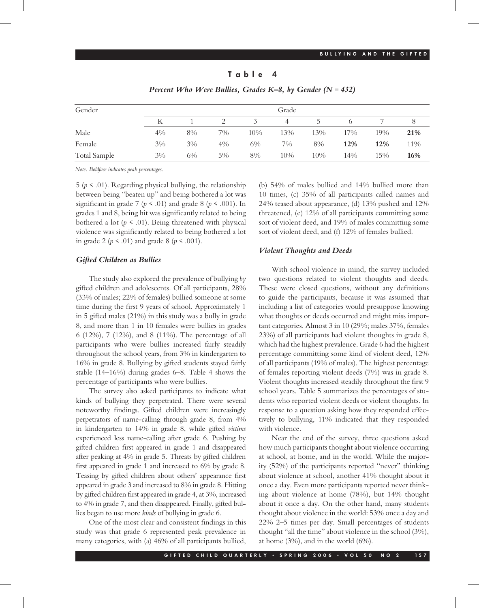| Gender              |    |    |    |       | Grade          |     |     |     |     |
|---------------------|----|----|----|-------|----------------|-----|-----|-----|-----|
|                     | K  |    |    | 3     | $\overline{4}$ | C.  | O   |     | 8   |
| Male                | 4% | 8% | 7% | 10%   | 13%            | 13% | 17% | 19% | 21% |
| Female              | 3% | 3% | 4% | $6\%$ | 7%             | 8%  | 12% | 12% | 11% |
| <b>Total Sample</b> | 3% | 6% | 5% | 8%    | 10%            | 10% | 14% | 15% | 16% |

*Percent Who Were Bullies, Grades K–8, by Gender (N = 432)*

*Note. Boldface indicates peak percentages.*

5 ( $p \leq .01$ ). Regarding physical bullying, the relationship between being "beaten up" and being bothered a lot was significant in grade 7 ( $p \leq .01$ ) and grade 8 ( $p \leq .001$ ). In grades 1 and 8, being hit was significantly related to being bothered a lot  $(p \le 0.01)$ . Being threatened with physical violence was significantly related to being bothered a lot in grade 2 (*p* < .01) and grade 8 (*p* < .001).

#### *Gifted Children as Bullies*

 The study also explored the prevalence of bullying *by* gifted children and adolescents. Of all participants, 28% (33% of males; 22% of females) bullied someone at some time during the first 9 years of school. Approximately 1 in 5 gifted males (21%) in this study was a bully in grade 8, and more than 1 in 10 females were bullies in grades 6 (12%), 7 (12%), and 8 (11%). The percentage of all participants who were bullies increased fairly steadily throughout the school years, from 3% in kindergarten to 16% in grade 8. Bullying by gifted students stayed fairly stable (14–16%) during grades 6–8. Table 4 shows the percentage of participants who were bullies.

 The survey also asked participants to indicate what kinds of bullying they perpetrated. There were several noteworthy findings. Gifted children were increasingly perpetrators of name-calling through grade 8, from 4% in kindergarten to 14% in grade 8, while gifted *victims* experienced less name-calling after grade 6. Pushing by gifted children first appeared in grade 1 and disappeared after peaking at 4% in grade 5. Threats by gifted children first appeared in grade 1 and increased to  $6\%$  by grade 8. Teasing by gifted children about others' appearance first appeared in grade 3 and increased to 8% in grade 8. Hitting by gifted children first appeared in grade 4, at 3%, increased to 4% in grade 7, and then disappeared. Finally, gifted bullies began to use more *kinds* of bullying in grade 6.

One of the most clear and consistent findings in this study was that grade 6 represented peak prevalence in many categories, with (a) 46% of all participants bullied,

(b) 54% of males bullied and 14% bullied more than 10 times, (c) 35% of all participants called names and 24% teased about appearance, (d) 13% pushed and 12% threatened, (e) 12% of all participants committing some sort of violent deed, and 19% of males committing some sort of violent deed, and (f) 12% of females bullied.

#### *Violent Thoughts and Deeds*

 With school violence in mind, the survey included two questions related to violent thoughts and deeds. These were closed questions, without any definitions to guide the participants, because it was assumed that including a list of categories would presuppose knowing what thoughts or deeds occurred and might miss important categories. Almost 3 in 10 (29%; males 37%, females 23%) of all participants had violent thoughts in grade 8, which had the highest prevalence. Grade 6 had the highest percentage committing some kind of violent deed, 12% of all participants (19% of males). The highest percentage of females reporting violent deeds (7%) was in grade 8. Violent thoughts increased steadily throughout the first 9 school years. Table 5 summarizes the percentages of students who reported violent deeds or violent thoughts. In response to a question asking how they responded effectively to bullying, 11% indicated that they responded with violence.

 Near the end of the survey, three questions asked how much participants thought about violence occurring at school, at home, and in the world. While the majority (52%) of the participants reported "never" thinking about violence at school, another 41% thought about it once a day. Even more participants reported never thinking about violence at home (78%), but 14% thought about it once a day. On the other hand, many students thought about violence in the world: 53% once a day and 22% 2–5 times per day. Small percentages of students thought "all the time" about violence in the school (3%), at home (3%), and in the world (6%).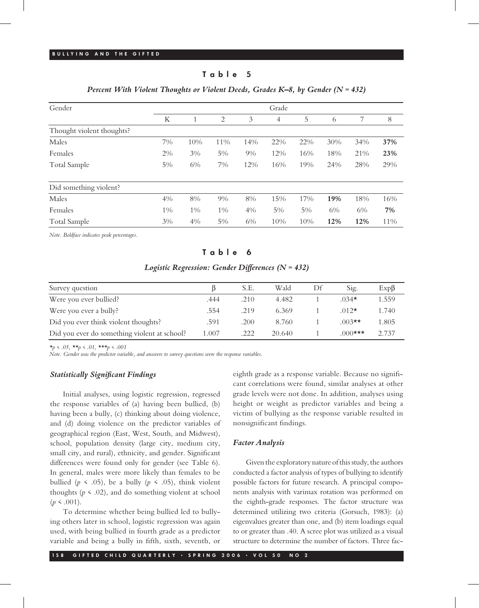#### *Percent With Violent Thoughts or Violent Deeds, Grades K–8, by Gender (N = 432)*

| Gender                    |       |       |       |     | Grade |     |     |     |                |
|---------------------------|-------|-------|-------|-----|-------|-----|-----|-----|----------------|
|                           | K     |       | 2     | 3   | 4     | 5   | 6   | 7   | $8\phantom{.}$ |
| Thought violent thoughts? |       |       |       |     |       |     |     |     |                |
| Males                     | 7%    | 10%   | 11%   | 14% | 22%   | 22% | 30% | 34% | 37%            |
| Females                   | 2%    | 3%    | 5%    | 9%  | 12%   | 16% | 18% | 21% | 23%            |
| Total Sample              | 5%    | 6%    | 7%    | 12% | 16%   | 19% | 24% | 28% | 29%            |
| Did something violent?    |       |       |       |     |       |     |     |     |                |
| Males                     | 4%    | 8%    | 9%    | 8%  | 15%   | 17% | 19% | 18% | 16%            |
| Females                   | $1\%$ | $1\%$ | $1\%$ | 4%  | 5%    | 5%  | 6%  | 6%  | 7%             |
| Total Sample              | 3%    | 4%    | 5%    | 6%  | 10%   | 10% | 12% | 12% | 11%            |

*Note. Boldface indicates peak percentages.*

# **T a b l e 6**

# *Logistic Regression: Gender Differences (N = 432)*

| Survey question                              |       | S.E. | Wald   | Df | Sig.        | $Exp\beta$ |
|----------------------------------------------|-------|------|--------|----|-------------|------------|
| Were you ever bullied?                       | .444  | .210 | 4.482  |    | $.034*$     | l.559      |
| Were you ever a bully?                       | .554  | .219 | 6.369  |    | $.012\star$ | l.740      |
| Did you ever think violent thoughts?         | .591  | .200 | 8.760  |    | $.003**$    | 1.805      |
| Did you ever do something violent at school? | 1.007 | .222 | 20.640 |    | $.000$ ***  | 2.737      |

*\*p < .05, \*\*p < .01, \*\*\*p < .001* 

*Note. Gender was the predictor variable, and answers to survey questions were the response variables.*

#### *Statistically Signifi cant Findings*

 Initial analyses, using logistic regression, regressed the response variables of (a) having been bullied, (b) having been a bully, (c) thinking about doing violence, and (d) doing violence on the predictor variables of geographical region (East, West, South, and Midwest), school, population density (large city, medium city, small city, and rural), ethnicity, and gender. Significant differences were found only for gender (see Table 6). In general, males were more likely than females to be bullied ( $p \leq .05$ ), be a bully ( $p \leq .05$ ), think violent thoughts  $(p \leq .02)$ , and do something violent at school  $(p \le .001)$ .

 To determine whether being bullied led to bullying others later in school, logistic regression was again used, with being bullied in fourth grade as a predictor variable and being a bully in fifth, sixth, seventh, or eighth grade as a response variable. Because no significant correlations were found, similar analyses at other grade levels were not done. In addition, analyses using height or weight as predictor variables and being a victim of bullying as the response variable resulted in nonsignificant findings.

#### *Factor Analysis*

 Given the exploratory nature of this study, the authors conducted a factor analysis of types of bullying to identify possible factors for future research. A principal components analysis with varimax rotation was performed on the eighth-grade responses. The factor structure was determined utilizing two criteria (Gorsuch, 1983): (a) eigenvalues greater than one, and (b) item loadings equal to or greater than .40. A scree plot was utilized as a visual structure to determine the number of factors. Three fac-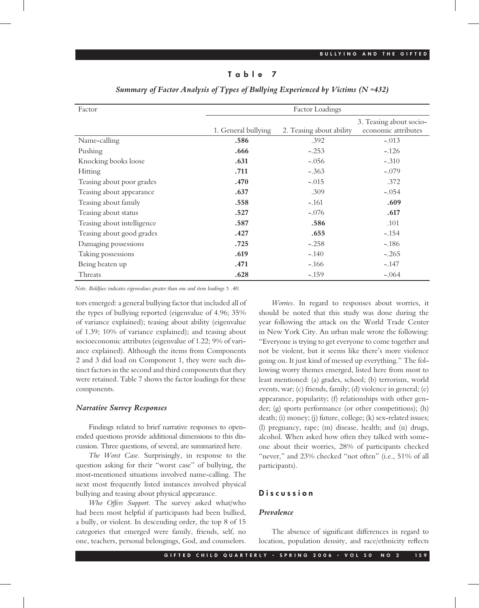| Factor                     | <b>Factor Loadings</b> |                          |                                                |  |  |  |  |
|----------------------------|------------------------|--------------------------|------------------------------------------------|--|--|--|--|
|                            | 1. General bullying    | 2. Teasing about ability | 3. Teasing about socio-<br>economic attributes |  |  |  |  |
| Name-calling               | .586                   | .392                     | $-.013$                                        |  |  |  |  |
| Pushing                    | .666                   | $-.253$                  | $-.126$                                        |  |  |  |  |
| Knocking books loose       | .631                   | $-.056$                  | $-.310$                                        |  |  |  |  |
| <b>Hitting</b>             | .711                   | $-.363$                  | $-.079$                                        |  |  |  |  |
| Teasing about poor grades  | .470                   | $-.015$                  | .372                                           |  |  |  |  |
| Teasing about appearance   | .637                   | .309                     | $-.054$                                        |  |  |  |  |
| Teasing about family       | .558                   | $-.161$                  | .609                                           |  |  |  |  |
| Teasing about status       | .527                   | $-.076$                  | .617                                           |  |  |  |  |
| Teasing about intelligence | .587                   | .586                     | .101                                           |  |  |  |  |
| Teasing about good grades  | .427                   | .655                     | $-.154$                                        |  |  |  |  |
| Damaging possessions       | .725                   | $-.258$                  | $-.186$                                        |  |  |  |  |
| Taking possessions         | .619                   | $-.140$                  | $-.265$                                        |  |  |  |  |
| Being beaten up            | .471                   | $-.166$                  | $-.147$                                        |  |  |  |  |
| Threats                    | .628                   | $-.159$                  | $-.064$                                        |  |  |  |  |

*Summary of Factor Analysis of Types of Bullying Experienced by Victims (N =432)*

*Note. Boldface indicates eigenvalues greater than one and item loadings ≥ .40.*

tors emerged: a general bullying factor that included all of the types of bullying reported (eigenvalue of 4.96; 35% of variance explained); teasing about ability (eigenvalue of 1.39; 10% of variance explained); and teasing about socioeconomic attributes (eigenvalue of 1.22; 9% of variance explained). Although the items from Components 2 and 3 did load on Component 1, they were such distinct factors in the second and third components that they were retained. Table 7 shows the factor loadings for these components.

#### *Narrative Survey Responses*

 Findings related to brief narrative responses to openended questions provide additional dimensions to this discussion. Three questions, of several, are summarized here.

*The Worst Case.* Surprisingly, in response to the question asking for their "worst case" of bullying, the most-mentioned situations involved name-calling. The next most frequently listed instances involved physical bullying and teasing about physical appearance.

*Who Offers Support*. The survey asked what/who had been most helpful if participants had been bullied, a bully, or violent. In descending order, the top 8 of 15 categories that emerged were family, friends, self, no one, teachers, personal belongings, God, and counselors.

 *Worries*. In regard to responses about worries, it should be noted that this study was done during the year following the attack on the World Trade Center in New York City. An urban male wrote the following: "Everyone is trying to get everyone to come together and not be violent, but it seems like there's more violence going on. It just kind of messed up everything." The following worry themes emerged, listed here from most to least mentioned: (a) grades, school; (b) terrorism, world events, war; (c) friends, family; (d) violence in general; (e) appearance, popularity; (f) relationships with other gender; (g) sports performance (or other competitions); (h) death; (i) money; (j) future, college; (k) sex-related issues; (l) pregnancy, rape; (m) disease, health; and (n) drugs, alcohol. When asked how often they talked with someone about their worries, 28% of participants checked "never," and 23% checked "not often" (i.e., 51% of all participants).

# **Discussion**

#### *Prevalence*

The absence of significant differences in regard to location, population density, and race/ethnicity reflects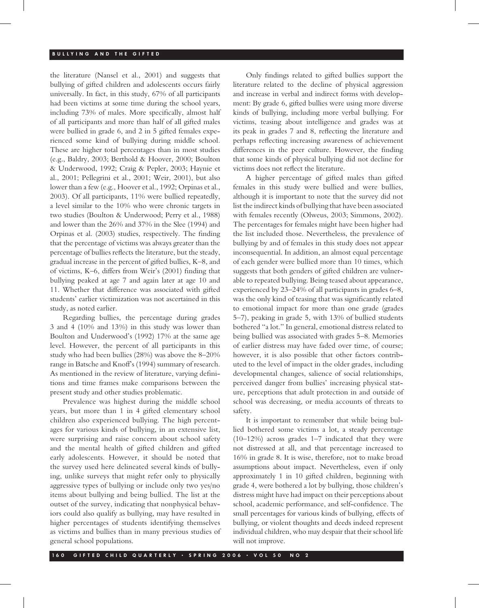the literature (Nansel et al., 2001) and suggests that bullying of gifted children and adolescents occurs fairly universally. In fact, in this study, 67% of all participants had been victims at some time during the school years, including 73% of males. More specifically, almost half of all participants and more than half of all gifted males were bullied in grade 6, and 2 in 5 gifted females experienced some kind of bullying during middle school. These are higher total percentages than in most studies (e.g., Baldry, 2003; Berthold & Hoover, 2000; Boulton & Underwood, 1992; Craig & Pepler, 2003; Haynie et al., 2001; Pellegrini et al., 2001; Weir, 2001), but also lower than a few (e.g., Hoover et al., 1992; Orpinas et al., 2003). Of all participants, 11% were bullied repeatedly, a level similar to the 10% who were chronic targets in two studies (Boulton & Underwood; Perry et al., 1988) and lower than the 26% and 37% in the Slee (1994) and Orpinas et al. (2003) studies, respectively. The finding that the percentage of victims was always greater than the percentage of bullies reflects the literature, but the steady, gradual increase in the percent of gifted bullies, K–8, and of victims, K-6, differs from Weir's (2001) finding that bullying peaked at age 7 and again later at age 10 and 11. Whether that difference was associated with gifted students' earlier victimization was not ascertained in this study, as noted earlier.

 Regarding bullies, the percentage during grades 3 and 4 (10% and 13%) in this study was lower than Boulton and Underwood's (1992) 17% at the same age level. However, the percent of all participants in this study who had been bullies (28%) was above the 8–20% range in Batsche and Knoff's (1994) summary of research. As mentioned in the review of literature, varying definitions and time frames make comparisons between the present study and other studies problematic.

 Prevalence was highest during the middle school years, but more than 1 in 4 gifted elementary school children also experienced bullying. The high percentages for various kinds of bullying, in an extensive list, were surprising and raise concern about school safety and the mental health of gifted children and gifted early adolescents. However, it should be noted that the survey used here delineated several kinds of bullying, unlike surveys that might refer only to physically aggressive types of bullying or include only two yes/no items about bullying and being bullied. The list at the outset of the survey, indicating that nonphysical behaviors could also qualify as bullying, may have resulted in higher percentages of students identifying themselves as victims and bullies than in many previous studies of general school populations.

Only findings related to gifted bullies support the literature related to the decline of physical aggression and increase in verbal and indirect forms with development: By grade 6, gifted bullies were using more diverse kinds of bullying, including more verbal bullying. For victims, teasing about intelligence and grades was at its peak in grades 7 and 8, reflecting the literature and perhaps reflecting increasing awareness of achievement differences in the peer culture. However, the finding that some kinds of physical bullying did not decline for victims does not reflect the literature.

 A higher percentage of gifted males than gifted females in this study were bullied and were bullies, although it is important to note that the survey did not list the indirect kinds of bullying that have been associated with females recently (Olweus, 2003; Simmons, 2002). The percentages for females might have been higher had the list included those. Nevertheless, the prevalence of bullying by and of females in this study does not appear inconsequential. In addition, an almost equal percentage of each gender were bullied more than 10 times, which suggests that both genders of gifted children are vulnerable to repeated bullying. Being teased about appearance, experienced by 23–24% of all participants in grades 6–8, was the only kind of teasing that was significantly related to emotional impact for more than one grade (grades 5–7), peaking in grade 5, with 13% of bullied students bothered "a lot." In general, emotional distress related to being bullied was associated with grades 5–8. Memories of earlier distress may have faded over time, of course; however, it is also possible that other factors contributed to the level of impact in the older grades, including developmental changes, salience of social relationships, perceived danger from bullies' increasing physical stature, perceptions that adult protection in and outside of school was decreasing, or media accounts of threats to safety.

 It is important to remember that while being bullied bothered some victims a lot, a steady percentage (10–12%) across grades 1–7 indicated that they were not distressed at all, and that percentage increased to 16% in grade 8. It is wise, therefore, not to make broad assumptions about impact. Nevertheless, even if only approximately 1 in 10 gifted children, beginning with grade 4, were bothered a lot by bullying, those children's distress might have had impact on their perceptions about school, academic performance, and self-confidence. The small percentages for various kinds of bullying, effects of bullying, or violent thoughts and deeds indeed represent individual children, who may despair that their school life will not improve.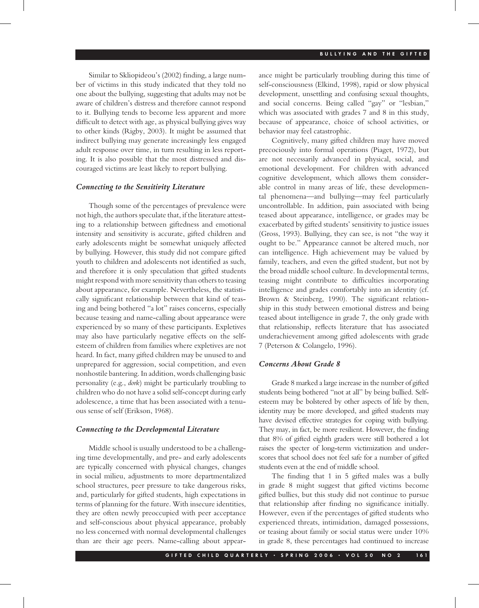Similar to Skliopideou's (2002) finding, a large number of victims in this study indicated that they told no one about the bullying, suggesting that adults may not be aware of children's distress and therefore cannot respond to it. Bullying tends to become less apparent and more difficult to detect with age, as physical bullying gives way to other kinds (Rigby, 2003). It might be assumed that indirect bullying may generate increasingly less engaged adult response over time, in turn resulting in less reporting. It is also possible that the most distressed and discouraged victims are least likely to report bullying.

#### *Connecting to the Sensitivity Literature*

 Though some of the percentages of prevalence were not high, the authors speculate that, if the literature attesting to a relationship between giftedness and emotional intensity and sensitivity is accurate, gifted children and early adolescents might be somewhat uniquely affected by bullying. However, this study did not compare gifted youth to children and adolescents not identified as such, and therefore it is only speculation that gifted students might respond with more sensitivity than others to teasing about appearance, for example. Nevertheless, the statistically significant relationship between that kind of teasing and being bothered "a lot" raises concerns, especially because teasing and name-calling about appearance were experienced by so many of these participants. Expletives may also have particularly negative effects on the selfesteem of children from families where expletives are not heard. In fact, many gifted children may be unused to and unprepared for aggression, social competition, and even nonhostile bantering. In addition, words challenging basic personality (e.g., *dork*) might be particularly troubling to children who do not have a solid self-concept during early adolescence, a time that has been associated with a tenuous sense of self (Erikson, 1968).

#### *Connecting to the Developmental Literature*

 Middle school is usually understood to be a challenging time developmentally, and pre- and early adolescents are typically concerned with physical changes, changes in social milieu, adjustments to more departmentalized school structures, peer pressure to take dangerous risks, and, particularly for gifted students, high expectations in terms of planning for the future. With insecure identities, they are often newly preoccupied with peer acceptance and self-conscious about physical appearance, probably no less concerned with normal developmental challenges than are their age peers. Name-calling about appearance might be particularly troubling during this time of self-consciousness (Elkind, 1998), rapid or slow physical development, unsettling and confusing sexual thoughts, and social concerns. Being called "gay" or "lesbian," which was associated with grades 7 and 8 in this study, because of appearance, choice of school activities, or behavior may feel catastrophic.

 Cognitively, many gifted children may have moved precociously into formal operations (Piaget, 1972), but are not necessarily advanced in physical, social, and emotional development. For children with advanced cognitive development, which allows them considerable control in many areas of life, these developmental phenomena—and bullying—may feel particularly uncontrollable. In addition, pain associated with being teased about appearance, intelligence, or grades may be exacerbated by gifted students' sensitivity to justice issues (Gross, 1993). Bullying, they can see, is not "the way it ought to be." Appearance cannot be altered much, nor can intelligence. High achievement may be valued by family, teachers, and even the gifted student, but not by the broad middle school culture. In developmental terms, teasing might contribute to difficulties incorporating intelligence and grades comfortably into an identity (cf. Brown & Steinberg, 1990). The significant relationship in this study between emotional distress and being teased about intelligence in grade 7, the only grade with that relationship, reflects literature that has associated underachievement among gifted adolescents with grade 7 (Peterson & Colangelo, 1996).

#### *Concerns About Grade 8*

 Grade 8 marked a large increase in the number of gifted students being bothered "not at all" by being bullied. Selfesteem may be bolstered by other aspects of life by then, identity may be more developed, and gifted students may have devised effective strategies for coping with bullying. They may, in fact, be more resilient. However, the finding that 8% of gifted eighth graders were still bothered a lot raises the specter of long-term victimization and underscores that school does not feel safe for a number of gifted students even at the end of middle school.

The finding that 1 in 5 gifted males was a bully in grade 8 might suggest that gifted victims become gifted bullies, but this study did not continue to pursue that relationship after finding no significance initially. However, even if the percentages of gifted students who experienced threats, intimidation, damaged possessions, or teasing about family or social status were under 10% in grade 8, these percentages had continued to increase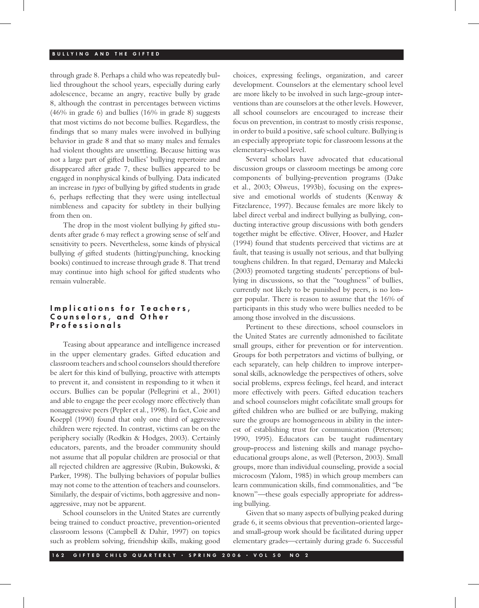through grade 8. Perhaps a child who was repeatedly bullied throughout the school years, especially during early adolescence, became an angry, reactive bully by grade 8, although the contrast in percentages between victims (46% in grade 6) and bullies (16% in grade 8) suggests that most victims do not become bullies. Regardless, the findings that so many males were involved in bullying behavior in grade 8 and that so many males and females had violent thoughts are unsettling. Because hitting was not a large part of gifted bullies' bullying repertoire and disappeared after grade 7, these bullies appeared to be engaged in nonphysical kinds of bullying. Data indicated an increase in *types* of bullying by gifted students in grade 6, perhaps reflecting that they were using intellectual nimbleness and capacity for subtlety in their bullying from then on.

 The drop in the most violent bullying *by* gifted students after grade 6 may reflect a growing sense of self and sensitivity to peers. Nevertheless, some kinds of physical bullying *of* gifted students (hitting/punching, knocking books) continued to increase through grade 8. That trend may continue into high school for gifted students who remain vulnerable.

# Implications for Teachers, **C o u n s e l o r s , a n d O t h e r Professionals**

 Teasing about appearance and intelligence increased in the upper elementary grades. Gifted education and classroom teachers and school counselors should therefore be alert for this kind of bullying, proactive with attempts to prevent it, and consistent in responding to it when it occurs. Bullies can be popular (Pellegrini et al., 2001) and able to engage the peer ecology more effectively than nonaggressive peers (Pepler et al., 1998). In fact, Coie and Koeppl (1990) found that only one third of aggressive children were rejected. In contrast, victims can be on the periphery socially (Rodkin & Hodges, 2003). Certainly educators, parents, and the broader community should not assume that all popular children are prosocial or that all rejected children are aggressive (Rubin, Bukowski, & Parker, 1998). The bullying behaviors of popular bullies may not come to the attention of teachers and counselors. Similarly, the despair of victims, both aggressive and nonaggressive, may not be apparent.

 School counselors in the United States are currently being trained to conduct proactive, prevention-oriented classroom lessons (Campbell & Dahir, 1997) on topics such as problem solving, friendship skills, making good choices, expressing feelings, organization, and career development. Counselors at the elementary school level are more likely to be involved in such large-group interventions than are counselors at the other levels. However, all school counselors are encouraged to increase their focus on prevention, in contrast to mostly crisis response, in order to build a positive, safe school culture. Bullying is an especially appropriate topic for classroom lessons at the elementary-school level.

 Several scholars have advocated that educational discussion groups or classroom meetings be among core components of bullying-prevention programs (Dake et al., 2003; Olweus, 1993b), focusing on the expressive and emotional worlds of students (Kenway & Fitzclarence, 1997). Because females are more likely to label direct verbal and indirect bullying as bullying, conducting interactive group discussions with both genders together might be effective. Oliver, Hoover, and Hazler (1994) found that students perceived that victims are at fault, that teasing is usually not serious, and that bullying toughens children. In that regard, Demaray and Malecki (2003) promoted targeting students' perceptions of bullying in discussions, so that the "toughness" of bullies, currently not likely to be punished by peers, is no longer popular. There is reason to assume that the 16% of participants in this study who were bullies needed to be among those involved in the discussions.

 Pertinent to these directions, school counselors in the United States are currently admonished to facilitate small groups, either for prevention or for intervention. Groups for both perpetrators and victims of bullying, or each separately, can help children to improve interpersonal skills, acknowledge the perspectives of others, solve social problems, express feelings, feel heard, and interact more effectively with peers. Gifted education teachers and school counselors might cofacilitate small groups for gifted children who are bullied or are bullying, making sure the groups are homogeneous in ability in the interest of establishing trust for communication (Peterson; 1990, 1995). Educators can be taught rudimentary group-process and listening skills and manage psychoeducational groups alone, as well (Peterson, 2003). Small groups, more than individual counseling, provide a social microcosm (Yalom, 1985) in which group members can learn communication skills, find commonalities, and "be known"—these goals especially appropriate for addressing bullying.

 Given that so many aspects of bullying peaked during grade 6, it seems obvious that prevention-oriented largeand small-group work should be facilitated during upper elementary grades—certainly during grade 6. Successful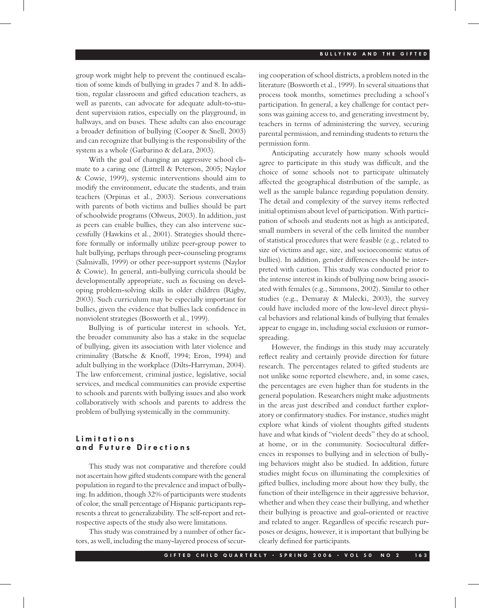group work might help to prevent the continued escalation of some kinds of bullying in grades 7 and 8. In addition, regular classroom and gifted education teachers, as well as parents, can advocate for adequate adult-to-student supervision ratios, especially on the playground, in hallways, and on buses. These adults can also encourage a broader definition of bullying (Cooper & Snell, 2003) and can recognize that bullying is the responsibility of the system as a whole (Garbarino & deLara, 2003).

 With the goal of changing an aggressive school climate to a caring one (Littrell & Peterson, 2005; Naylor & Cowie, 1999), systemic interventions should aim to modify the environment, educate the students, and train teachers (Orpinas et al., 2003). Serious conversations with parents of both victims and bullies should be part of schoolwide programs (Olweus, 2003). In addition, just as peers can enable bullies, they can also intervene successfully (Hawkins et al., 2001). Strategies should therefore formally or informally utilize peer-group power to halt bullying, perhaps through peer-counseling programs (Salmivalli, 1999) or other peer-support systems (Naylor & Cowie). In general, anti-bullying curricula should be developmentally appropriate, such as focusing on developing problem-solving skills in older children (Rigby, 2003). Such curriculum may be especially important for bullies, given the evidence that bullies lack confidence in nonviolent strategies (Bosworth et al., 1999).

 Bullying is of particular interest in schools. Yet, the broader community also has a stake in the sequelae of bullying, given its association with later violence and criminality (Batsche & Knoff, 1994; Eron, 1994) and adult bullying in the workplace (Dilts-Harryman, 2004). The law enforcement, criminal justice, legislative, social services, and medical communities can provide expertise to schools and parents with bullying issues and also work collaboratively with schools and parents to address the problem of bullying systemically in the community.

# **L i m i t a t i o n s and Future Directions**

 This study was not comparative and therefore could not ascertain how gifted students compare with the general population in regard to the prevalence and impact of bullying. In addition, though 32% of participants were students of color, the small percentage of Hispanic participants represents a threat to generalizability. The self-report and retrospective aspects of the study also were limitations.

 This study was constrained by a number of other factors, as well, including the many-layered process of securing cooperation of school districts, a problem noted in the literature (Bosworth et al., 1999). In several situations that process took months, sometimes precluding a school's participation. In general, a key challenge for contact persons was gaining access to, and generating investment by, teachers in terms of administering the survey, securing parental permission, and reminding students to return the permission form.

 Anticipating accurately how many schools would agree to participate in this study was difficult, and the choice of some schools not to participate ultimately affected the geographical distribution of the sample, as well as the sample balance regarding population density. The detail and complexity of the survey items reflected initial optimism about level of participation. With participation of schools and students not as high as anticipated, small numbers in several of the cells limited the number of statistical procedures that were feasible (e.g., related to size of victims and age, size, and socioeconomic status of bullies). In addition, gender differences should be interpreted with caution. This study was conducted prior to the intense interest in kinds of bullying now being associated with females (e.g., Simmons, 2002). Similar to other studies (e.g., Demaray & Malecki, 2003), the survey could have included more of the low-level direct physical behaviors and relational kinds of bullying that females appear to engage in, including social exclusion or rumorspreading.

However, the findings in this study may accurately reflect reality and certainly provide direction for future research. The percentages related to gifted students are not unlike some reported elsewhere, and, in some cases, the percentages are even higher than for students in the general population. Researchers might make adjustments in the areas just described and conduct further exploratory or confirmatory studies. For instance, studies might explore what kinds of violent thoughts gifted students have and what kinds of "violent deeds" they do at school, at home, or in the community. Sociocultural differences in responses to bullying and in selection of bullying behaviors might also be studied. In addition, future studies might focus on illuminating the complexities of gifted bullies, including more about how they bully, the function of their intelligence in their aggressive behavior, whether and when they cease their bullying, and whether their bullying is proactive and goal-oriented or reactive and related to anger. Regardless of specific research purposes or designs, however, it is important that bullying be clearly defined for participants.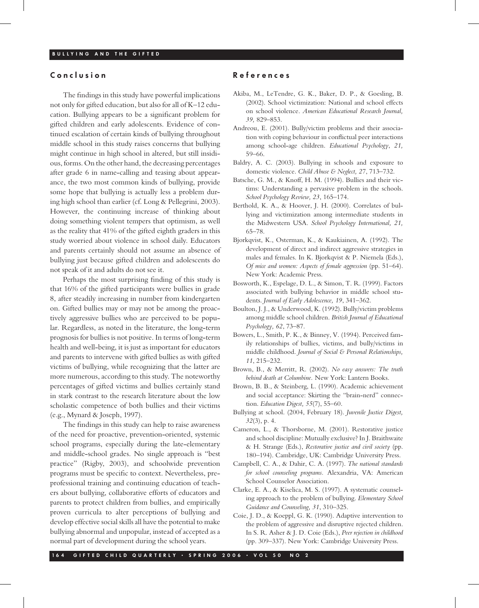# **Conclusion**

The findings in this study have powerful implications not only for gifted education, but also for all of K–12 education. Bullying appears to be a significant problem for gifted children and early adolescents. Evidence of continued escalation of certain kinds of bullying throughout middle school in this study raises concerns that bullying might continue in high school in altered, but still insidious, forms. On the other hand, the decreasing percentages after grade 6 in name-calling and teasing about appearance, the two most common kinds of bullying, provide some hope that bullying is actually less a problem during high school than earlier (cf. Long & Pellegrini, 2003). However, the continuing increase of thinking about doing something violent tempers that optimism, as well as the reality that 41% of the gifted eighth graders in this study worried about violence in school daily. Educators and parents certainly should not assume an absence of bullying just because gifted children and adolescents do not speak of it and adults do not see it.

Perhaps the most surprising finding of this study is that 16% of the gifted participants were bullies in grade 8, after steadily increasing in number from kindergarten on. Gifted bullies may or may not be among the proactively aggressive bullies who are perceived to be popular. Regardless, as noted in the literature, the long-term prognosis for bullies is not positive. In terms of long-term health and well-being, it is just as important for educators and parents to intervene with gifted bullies as with gifted victims of bullying, while recognizing that the latter are more numerous, according to this study. The noteworthy percentages of gifted victims and bullies certainly stand in stark contrast to the research literature about the low scholastic competence of both bullies and their victims (e.g., Mynard & Joseph, 1997).

The findings in this study can help to raise awareness of the need for proactive, prevention-oriented, systemic school programs, especially during the late-elementary and middle-school grades. No single approach is "best practice" (Rigby, 2003), and schoolwide prevention programs must be specific to context. Nevertheless, preprofessional training and continuing education of teachers about bullying, collaborative efforts of educators and parents to protect children from bullies, and empirically proven curricula to alter perceptions of bullying and develop effective social skills all have the potential to make bullying abnormal and unpopular, instead of accepted as a normal part of development during the school years.

# **References**

- Akiba, M., LeTendre, G. K., Baker, D. P., & Goesling, B. (2002). School victimization: National and school effects on school violence. *American Educational Research Journal, 39,* 829–853.
- Andreou, E. (2001). Bully/victim problems and their association with coping behaviour in conflictual peer interactions among school-age children. *Educational Psychology*, *21,* 59–66.
- Baldry, A. C. (2003). Bullying in schools and exposure to domestic violence. *Child Abuse & Neglect, 27*, 713–732.
- Batsche, G. M., & Knoff, H. M. (1994). Bullies and their victims: Understanding a pervasive problem in the schools. *School Psychology Review, 23*, 165–174.
- Berthold, K. A., & Hoover, J. H. (2000). Correlates of bullying and victimization among intermediate students in the Midwestern USA. *School Psychology International, 21,*  65–78.
- Bjorkqvist, K., Osterman, K., & Kaukiainen, A. (1992). The development of direct and indirect aggressive strategies in males and females. In K. Bjorkqvist & P. Niemela (Eds.), *Of mice and women: Aspects of female aggression* (pp. 51–64). New York: Academic Press.
- Bosworth, K., Espelage, D. L., & Simon, T. R. (1999). Factors associated with bullying behavior in middle school students. *Journal of Early Adolescence, 19*, 341–362.
- Boulton, J. J., & Underwood, K. (1992). Bully/victim problems among middle school children. *British Journal of Educational Psychology, 62*, 73–87.
- Bowers, L., Smith, P. K., & Binney, V. (1994). Perceived family relationships of bullies, victims, and bully/victims in middle childhood. *Journal of Social & Personal Relationships, 11*, 215–232.
- Brown, B., & Merritt, R. (2002). *No easy answers: The truth behind death at Columbine.* New York: Lantern Books.
- Brown, B. B., & Steinberg, L. (1990). Academic achievement and social acceptance: Skirting the "brain-nerd" connection. *Education Digest, 55*(7), 55–60.
- Bullying at school. (2004, February 18). *Juvenile Justice Digest, 32*(3), p. 4.
- Cameron, L., & Thorsborne, M. (2001). Restorative justice and school discipline: Mutually exclusive? In J. Braithwaite & H. Strange (Eds.), *Restorative justice and civil society* (pp. 180–194). Cambridge, UK: Cambridge University Press.
- Campbell, C. A., & Dahir, C. A. (1997). *The national standards for school counseling programs.* Alexandria, VA: American School Counselor Association.
- Clarke, E. A., & Kiselica, M. S. (1997). A systematic counseling approach to the problem of bullying. *Elementary School Guidance and Counseling, 31*, 310–325.
- Coie, J. D., & Koeppl, G. K. (1990). Adaptive intervention to the problem of aggressive and disruptive rejected children. In S. R. Asher & J. D. Coie (Eds.), *Peer rejection in childhood* (pp. 309–337). New York: Cambridge University Press.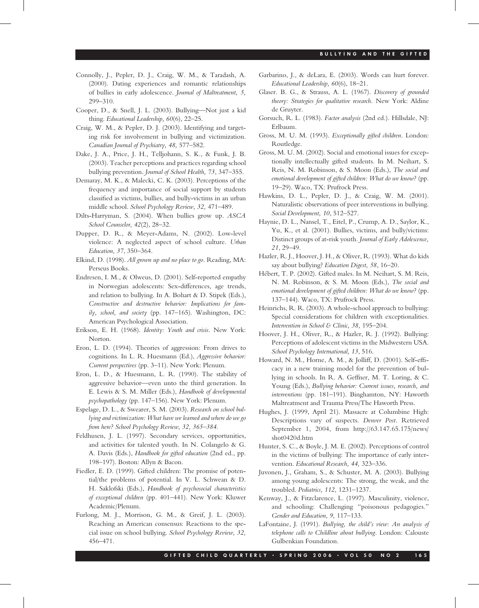- Connolly, J., Pepler, D. J., Craig, W. M., & Taradash, A. (2000). Dating experiences and romantic relationships of bullies in early adolescence. *Journal of Maltreatment, 5,*  299–310.
- Cooper, D., & Snell, J. L. (2003). Bullying—Not just a kid thing. *Educational Leadership, 60*(6), 22–25.
- Craig, W. M., & Pepler, D. J. (2003). Identifying and targeting risk for involvement in bullying and victimization. *Canadian Journal of Psychiatry, 48,* 577–582.
- Dake, J. A., Price, J. H., Telljohann, S. K., & Funk, J. B. (2003). Teacher perceptions and practices regarding school bullying prevention. *Journal of School Health, 73*, 347–355.
- Demaray, M. K., & Malecki, C. K. (2003). Perceptions of the frequency and importance of social support by students classified as victims, bullies, and bully-victims in an urban middle school. *School Psychology Review, 32,* 471–489.
- Dilts-Harryman, S. (2004). When bullies grow up. *ASCA School Counselor, 42*(2), 28–32.
- Dupper, D. R., & Meyer-Adams, N. (2002). Low-level violence: A neglected aspect of school culture. *Urban Education, 37*, 350–364.
- Elkind, D. (1998). *All grown up and no place to go*. Reading, MA: Perseus Books.
- Endresen, I. M., & Olweus, D. (2001). Self-reported empathy in Norwegian adolescents: Sex-differences, age trends, and relation to bullying. In A. Bohart & D. Stipek (Eds.), *Constructive and destructive behavior: Implications for family, school, and society* (pp. 147–165). Washington, DC: American Psychological Association.
- Erikson, E. H. (1968). *Identity: Youth and crisis*. New York: Norton.
- Eron, L. D. (1994). Theories of aggression: From drives to cognitions. In L. R. Huesmann (Ed.), *Aggressive behavior: Current perspectives* (pp. 3–11). New York: Plenum.
- Eron, L. D., & Huesmann, L. R. (1990). The stability of aggressive behavior—even unto the third generation. In E. Lewis & S. M. Miller (Eds.), *Handbook of developmental psychopathology* (pp. 147–156). New York: Plenum.
- Espelage, D. L., & Swearer, S. M. (2003). *Research on school bullying and victimization: What have we learned and where do we go from here? School Psychology Review, 32, 365–384.*
- Feldhusen, J. L. (1997). Secondary services, opportunities, and activities for talented youth. In N. Colangelo & G. A. Davis (Eds.), *Handbook for gifted education* (2nd ed., pp. 198–197). Boston: Allyn & Bacon.
- Fiedler, E. D. (1999). Gifted children: The promise of potential/the problems of potential. In V. L. Schwean & D. H. Saklofski (Eds.), *Handbook of psychosocial characteristics of exceptional children* (pp. 401–441). New York: Kluwer Academic/Plenum.
- Furlong, M. J., Morrison, G. M., & Greif, J. L. (2003). Reaching an American consensus: Reactions to the special issue on school bullying. *School Psychology Review, 32,* 456–471.
- Garbarino, J., & deLara, E. (2003). Words can hurt forever. *Educational Leadership, 60*(6), 18–21.
- Glaser. B. G., & Strauss, A. L. (1967). *Discovery of grounded theory: Strategies for qualitative research.* New York: Aldine de Gruyter.
- Gorsuch, R. L. (1983). *Factor analysis* (2nd ed.). Hillsdale, NJ: Erlbaum.
- Gross, M. U. M. (1993). *Exceptionally gifted children*. London: Routledge.
- Gross, M. U. M. (2002). Social and emotional issues for exceptionally intellectually gifted students. In M. Neihart, S. Reis, N. M. Robinson, & S. Moon (Eds.), *The social and emotional development of gifted children: What do we know?* (pp. 19–29). Waco, TX: Prufrock Press.
- Hawkins, D. L., Pepler, D. J., & Craig, W. M. (2001). Naturalistic observations of peer interventions in bullying. *Social Development, 10*, 512–527.
- Haynie, D. L., Nansel, T., Eitel, P., Crump, A. D., Saylor, K., Yu, K., et al. (2001). Bullies, victims, and bully/victims: Distinct groups of at-risk youth*. Journal of Early Adolescence, 21*, 29–49.
- Hazler, R. J., Hoover, J. H., & Oliver, R. (1993). What do kids say about bullying? *Education Digest, 58*, 16–20.
- Hébert, T. P. (2002). Gifted males. In M. Neihart, S. M. Reis, N. M. Robinson, & S. M. Moon (Eds.), *The social and emotional development of gifted children: What do we know?* (pp. 137–144). Waco, TX: Prufrock Press.
- Heinrichs, R. R. (2003). A whole-school approach to bullying: Special considerations for children with exceptionalities. *Intervention in School & Clinic, 38,* 195–204.
- Hoover, J. H., Oliver, R., & Hazler, R. J. (1992). Bullying: Perceptions of adolescent victims in the Midwestern USA. *School Psychology International, 13*, 516.
- Howard, N. M., Horne, A. M., & Jolliff, D. (2001). Self-efficacy in a new training model for the prevention of bullying in schools. In R. A. Geffner, M. T. Loring, & C. Young (Eds.), *Bullying behavior: Current issues, research, and interventions* (pp. 181–191). Binghamton, NY: Haworth Maltreatment and Trauma Press/The Haworth Press.
- Hughes, J. (1999, April 21). Massacre at Columbine High: Descriptions vary of suspects. *Denver Post*. Retrieved September 1, 2004, from http://63.147.65.175/news/ shot0420d.htm
- Hunter, S. C., & Boyle, J. M. E. (2002). Perceptions of control in the victims of bullying: The importance of early intervention. *Educational Research, 44,* 323–336.
- Juvonen, J., Graham, S., & Schuster, M. A. (2003). Bullying among young adolescents: The strong, the weak, and the troubled. *Pediatrics, 112,* 1231–1237.
- Kenway, J., & Fitzclarence, L. (1997). Masculinity, violence, and schooling: Challenging "poisonous pedagogies." *Gender and Education, 9,* 117–133.
- LaFontaine, J. (1991). *Bullying, the child's view: An analysis of telephone calls to Childline about bullying*. London: Calouste Gulbenkian Foundation.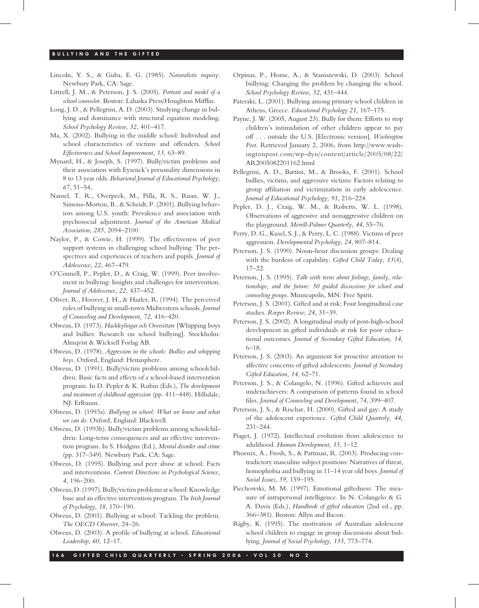- Lincoln, Y. S., & Guba, E. G. (1985). *Naturalistic inquiry*. Newbury Park, CA: Sage.
- Littrell, J. M., & Peterson, J. S. (2005). *Portrait and model of a*  school counselor. Boston: Lahaska Press/Houghton Mifflin.
- Long, J. D., & Pellegrini, A. D. (2003). Studying change in bullying and dominance with structural equation modeling. *School Psychology Review, 32*, 401–417.
- Ma, X. (2002). Bullying in the middle school: Individual and school characteristics of victims and offenders. *School Effectiveness and School Improvement, 13,* 63–89.
- Mynard, H., & Joseph, S. (1997). Bully/victim problems and their association with Eysenck's personality dimensions in 8 to 13 year olds. *Behavioral Journal of Educational Psychology, 67*, 51–54,
- Nansel, T. R., Overpeck, M., Pilla, R. S., Ruan, W. J., Simons-Morton, B., & Scheidt, P. (2001). Bullying behaviors among U.S. youth: Prevalence and association with psychosocial adjustment. *Journal of the American Medical Association, 285*, 2094–2100.
- Naylor, P., & Cowie, H. (1999). The effectiveness of peer support systems in challenging school bullying: The perspectives and experiences of teachers and pupils. *Journal of Adolescence, 22*, 467–479.
- O'Connell, P., Pepler, D., & Craig, W. (1999). Peer involvement in bullying: Insights and challenges for intervention. *Journal of Adolescence, 22,* 437–452.
- Oliver, R., Hoover, J. H., & Hazler, R. (1994). The perceived roles of bullying in small-town Midwestern schools. *Journal of Counseling and Development, 72,* 416–420.
- Olweus, D. (1973). *Hackkylingar och Oversittare* [Whipping boys and bullies: Research on school bullying]. Stockholm: Almqvist & Wicksell Forlag AB.
- Olweus, D. (1978). *Aggression in the schools: Bullies and whipping boys*. Oxford, England: Hemisphere.
- Olweus, D. (1991). Bully/victim problems among schoolchildren: Basic facts and effects of a school-based intervention program. In D. Pepler & K. Rubin (Eds.), *The development and treatment of childhood aggression* (pp. 411–448). Hillsdale, NJ: Erlbaum.
- Olweus, D. (1993a). *Bullying in school: What we know and what we can do*. Oxford, England: Blackwell.
- Olweus, D. (1993b). Bully/victim problems among schoolchildren: Long-term consequences and an effective intervention program. In S. Hodgins (Ed.), *Mental disorder and crime*  (pp. 317–349). Newbury Park, CA: Sage.
- Olweus, D. (1995). Bullying and peer abuse at school: Facts and interventions. *Current Directions in Psychological Science, 4*, 196–200.
- Olweus, D. (1997). Bully/victim problems at school: Knowledge base and an effective intervention program. *The Irish Journal of Psychology, 18*, 170–190.
- Olweus, D. (2001). Bullying at school: Tackling the problem. *The OECD Observer,* 24–26.
- Olweus, D. (2003). A profile of bullying at school. *Educational Leadership, 60,* 12–17.
- Orpinas, P., Home, A., & Staniszewski, D. (2003). School bullying: Changing the problem by changing the school. *School Psychology Review, 32,* 431–444.
- Pateraki, L. (2001). Bullying among primary school children in Athens, Greece. *Educational Psychology 21,* 167–175.
- Payne, J. W. (2005, August 23). Bully for them: Efforts to stop children's intimidation of other children appear to pay off . . . outside the U.S. [Electronic version]. *Washington Post*. Retrieved January 2, 2006, from http://www.washingtonpost.com/wp-dyn/content/article/2005/08/22/ AR2005082201162.html
- Pellegrini, A. D., Bartini, M., & Brooks, F. (2001). School bullies, victims, and aggressive victims: Factors relating to group affiliation and victimization in early adolescence. *Journal of Educational Psychology, 91*, 216–224.
- Pepler, D. J., Craig, W. M., & Roberts, W. L. (1998). Observations of aggressive and nonaggressive children on the playground. *Merrill-Palmer Quarterly, 44*, 55–76.
- Perry, D. G., Kusel, S. J., & Perry, L. C. (1988). Victims of peer aggression. *Developmental Psychology, 24*, 807–814.
- Peterson, J. S. (1990). Noon-hour discussion groups: Dealing with the burdens of capability. *Gifted Child Today, 13*(4), 17–22.
- Peterson, J. S. (1995). *Talk with teens about feelings, family, relationships, and the future: 50 guided discussions for school and counseling groups*. Minneapolis, MN: Free Spirit.
- Peterson, J. S. (2001). Gifted and at risk: Four longitudinal case studies. *Roeper Review, 24,* 31–39.
- Peterson, J. S. (2002). A longitudinal study of post-high-school development in gifted individuals at risk for poor educational outcomes. *Journal of Secondary Gifted Education, 14,*  6–18.
- Peterson, J. S. (2003). An argument for proactive attention to affective concerns of gifted adolescents. *Journal of Secondary Gifted Education, 14*, 62–71.
- Peterson, J. S., & Colangelo, N. (1996). Gifted achievers and underachievers: A comparison of patterns found in school files. Journal of Counseling and Development, 74, 399-407.
- Peterson, J. S., & Rischar, H. (2000). Gifted and gay: A study of the adolescent experience. *Gifted Child Quarterly, 44,* 231–244.
- Piaget, J. (1972). Intellectual evolution from adolescence to adulthood. *Human Development, 15*, 1–12.
- Phoenix, A., Frosh, S., & Pattman, R. (2003). Producing contradictory masculine subject positions: Narratives of threat, homophobia and bullying in 11–14 year old boys. *Journal of Social Issues, 59,* 159–195.
- Piechowski, M. M. (1997). Emotional giftedness: The measure of intrapersonal intelligence. In N. Colangelo & G. A. Davis (Eds.), *Handbook of gifted education* (2nd ed., pp. 366–381). Boston: Allyn and Bacon.
- Rigby, K. (1995). The motivation of Australian adolescent school children to engage in group discussions about bullying. *Journal of Social Psychology, 135,* 773–774.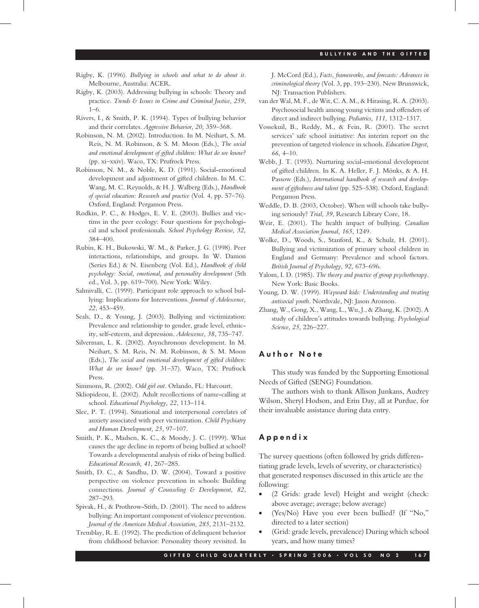- Rigby, K. (1996). *Bullying in schools and what to do about it*. Melbourne, Australia: ACER.
- Rigby, K. (2003). Addressing bullying in schools: Theory and practice*. Trends & Issues in Crime and Criminal Justice, 259*, 1–6.
- Rivers, I., & Smith, P. K. (1994). Types of bullying behavior and their correlates. *Aggressive Behavior, 20,* 359–368.
- Robinson, N. M. (2002). Introduction. In M. Neihart, S. M. Reis, N. M. Robinson, & S. M. Moon (Eds.), *The social and emotional development of gifted children: What do we know?* (pp. xi–xxiv). Waco, TX: Prufrock Press.
- Robinson, N. M., & Noble, K. D. (1991). Social-emotional development and adjustment of gifted children. In M. C. Wang, M. C. Reynolds, & H. J. Walberg (Eds.), *Handbook of special education: Research and practice* (Vol. 4, pp. 57–76). Oxford, England: Pergamon Press.
- Rodkin, P. C., & Hodges, E. V. E. (2003). Bullies and victims in the peer ecology: Four questions for psychological and school professionals. *School Psychology Review, 32,* 384–400.
- Rubin, K. H., Bukowski, W. M., & Parker, J. G. (1998). Peer interactions, relationships, and groups. In W. Damon (Series Ed.) & N. Eisenberg (Vol. Ed.), *Handbook of child psychology: Social, emotional, and personality development* (5th ed., Vol. 3, pp. 619–700). New York: Wiley.
- Salmivalli, C. (1999). Participant role approach to school bullying: Implications for Interventions. *Journal of Adolescence, 22*, 453–459.
- Seals, D., & Young, J. (2003). Bullying and victimization: Prevalence and relationship to gender, grade level, ethnicity, self-esteem, and depression. *Adolescence, 38*, 735–747.
- Silverman, L. K. (2002). Asynchronous development. In M. Neihart, S. M. Reis, N. M. Robinson, & S. M. Moon (Eds.), *The social and emotional development of gifted children: What do we know?* (pp. 31–37). Waco, TX: Prufrock Press.
- Simmons, R. (2002). *Odd girl out*. Orlando, FL: Harcourt.
- Skliopideou, E. (2002). Adult recollections of name-calling at school. *Educational Psychology, 22*, 113–114.
- Slee, P. T. (1994). Situational and interpersonal correlates of anxiety associated with peer victimization. *Child Psychiatry and Human Development, 25*, 97–107.
- Smith, P. K., Madsen, K. C., & Moody, J. C. (1999). What causes the age decline in reports of being bullied at school? Towards a developmental analysis of risks of being bullied. *Educational Research, 41*, 267–285.
- Smith, D. C., & Sandhu, D. W. (2004). Toward a positive perspective on violence prevention in schools: Building connections. *Journal of Counseling & Development, 82*, 287–293.
- Spivak, H., & Prothrow-Stith, D. (2001). The need to address bullying: An important component of violence prevention. *Journal of the American Medical Association, 285*, 2131–2132.
- Tremblay, R. E. (1992). The prediction of delinquent behavior from childhood behavior: Personality theory revisited. In

J. McCord (Ed.), *Facts, frameworks, and forecasts: Advances in criminological theory* (Vol. 3, pp. 193–230). New Brunswick, NJ: Transaction Publishers.

- van der Wal, M. F., de Wit, C. A. M., & Hirasing, R. A. (2003). Psychosocial health among young victims and offenders of direct and indirect bullying. *Pediatrics, 111,* 1312–1317.
- Vossekuil, B., Reddy, M., & Fein, R. (2001). The secret services' safe school initiative: An interim report on the prevention of targeted violence in schools. *Education Digest, 66,* 4–10.
- Webb, J. T. (1993). Nurturing social-emotional development of gifted children. In K. A. Heller, F. J. Mönks, & A. H. Passow (Eds.), *International handbook of research and development of giftedness and talent* (pp. 525–538). Oxford, England: Pergamon Press.
- Weddle, D. B. (2003, October). When will schools take bullying seriously? *Trial, 39*, Research Library Core, 18.
- Weir, E. (2001). The health impact of bullying. *Canadian Medical Association Journal, 165*, 1249.
- Wolke, D., Woods, S., Stanford, K., & Schulz, H. (2001). Bullying and victimization of primary school children in England and Germany: Prevalence and school factors. *British Journal of Psychology, 92,* 673–696.
- Yalom, I. D. (1985). *The theory and practice of group psychotherapy*. New York: Basic Books.
- Young, D. W. (1999). *Wayward kids: Understanding and treating antisocial youth*. Northvale, NJ: Jason Aronson.
- Zhang, W., Gong, X., Wang, L., Wu, J., & Zhang, K. (2002). A study of children's attitudes towards bullying. *Psychological Science, 25,* 226–227.

# **Author Note**

This study was funded by the Supporting Emotional Needs of Gifted (SENG) Foundation.

The authors wish to thank Allison Junkans, Audrey Wilson, Sheryl Hodson, and Erin Day, all at Purdue, for their invaluable assistance during data entry*.* 

# **Appendix**

The survey questions (often followed by grids differentiating grade levels, levels of severity, or characteristics) that generated responses discussed in this article are the following:

- (2 Grids: grade level) Height and weight (check: above average; average; below average)
- (Yes/No) Have you ever been bullied? (If "No," directed to a later section)
- (Grid: grade levels, prevalence) During which school years, and how many times?